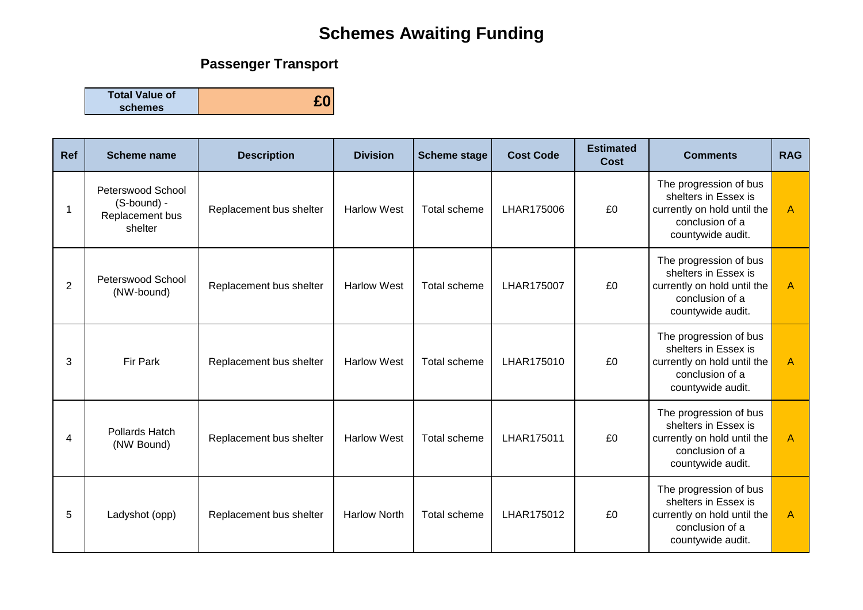# **Schemes Awaiting Funding**

## **Passenger Transport**

**Total Value of schemes £0**

| <b>Ref</b> | Scheme name                                                    | <b>Description</b>      | <b>Division</b>     | <b>Scheme stage</b> | <b>Cost Code</b> | <b>Estimated</b><br><b>Cost</b> | <b>Comments</b>                                                                                                       | <b>RAG</b> |
|------------|----------------------------------------------------------------|-------------------------|---------------------|---------------------|------------------|---------------------------------|-----------------------------------------------------------------------------------------------------------------------|------------|
| 1          | Peterswood School<br>(S-bound) -<br>Replacement bus<br>shelter | Replacement bus shelter | <b>Harlow West</b>  | Total scheme        | LHAR175006       | £0                              | The progression of bus<br>shelters in Essex is<br>currently on hold until the<br>conclusion of a<br>countywide audit. | A          |
| 2          | Peterswood School<br>(NW-bound)                                | Replacement bus shelter | <b>Harlow West</b>  | Total scheme        | LHAR175007       | £0                              | The progression of bus<br>shelters in Essex is<br>currently on hold until the<br>conclusion of a<br>countywide audit. | A          |
| 3          | Fir Park                                                       | Replacement bus shelter | <b>Harlow West</b>  | Total scheme        | LHAR175010       | £0                              | The progression of bus<br>shelters in Essex is<br>currently on hold until the<br>conclusion of a<br>countywide audit. | A          |
| 4          | <b>Pollards Hatch</b><br>(NW Bound)                            | Replacement bus shelter | <b>Harlow West</b>  | Total scheme        | LHAR175011       | £0                              | The progression of bus<br>shelters in Essex is<br>currently on hold until the<br>conclusion of a<br>countywide audit. | A          |
| 5          | Ladyshot (opp)                                                 | Replacement bus shelter | <b>Harlow North</b> | Total scheme        | LHAR175012       | £0                              | The progression of bus<br>shelters in Essex is<br>currently on hold until the<br>conclusion of a<br>countywide audit. | A          |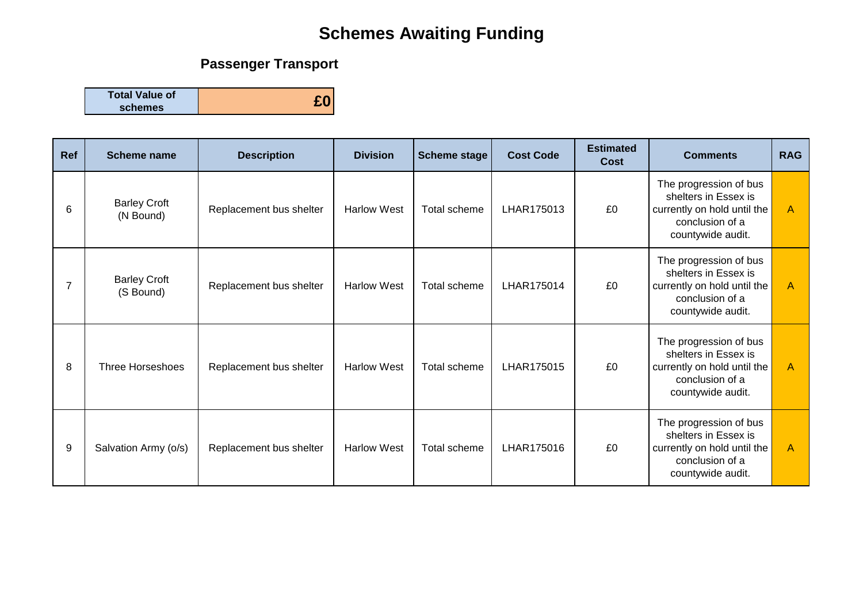# **Schemes Awaiting Funding**

## **Passenger Transport**

**Total Value of schemes £0**

| Ref | <b>Scheme name</b>               | <b>Description</b>      | <b>Division</b>    | <b>Scheme stage</b> | <b>Cost Code</b> | <b>Estimated</b><br>Cost | <b>Comments</b>                                                                                                       | <b>RAG</b>   |
|-----|----------------------------------|-------------------------|--------------------|---------------------|------------------|--------------------------|-----------------------------------------------------------------------------------------------------------------------|--------------|
| 6   | <b>Barley Croft</b><br>(N Bound) | Replacement bus shelter | <b>Harlow West</b> | Total scheme        | LHAR175013       | £0                       | The progression of bus<br>shelters in Essex is<br>currently on hold until the<br>conclusion of a<br>countywide audit. | A            |
| 7   | <b>Barley Croft</b><br>(S Bound) | Replacement bus shelter | <b>Harlow West</b> | Total scheme        | LHAR175014       | £0                       | The progression of bus<br>shelters in Essex is<br>currently on hold until the<br>conclusion of a<br>countywide audit. | A            |
| 8   | <b>Three Horseshoes</b>          | Replacement bus shelter | <b>Harlow West</b> | Total scheme        | LHAR175015       | £0                       | The progression of bus<br>shelters in Essex is<br>currently on hold until the<br>conclusion of a<br>countywide audit. | A            |
| 9   | Salvation Army (o/s)             | Replacement bus shelter | <b>Harlow West</b> | Total scheme        | LHAR175016       | £0                       | The progression of bus<br>shelters in Essex is<br>currently on hold until the<br>conclusion of a<br>countywide audit. | $\mathsf{A}$ |